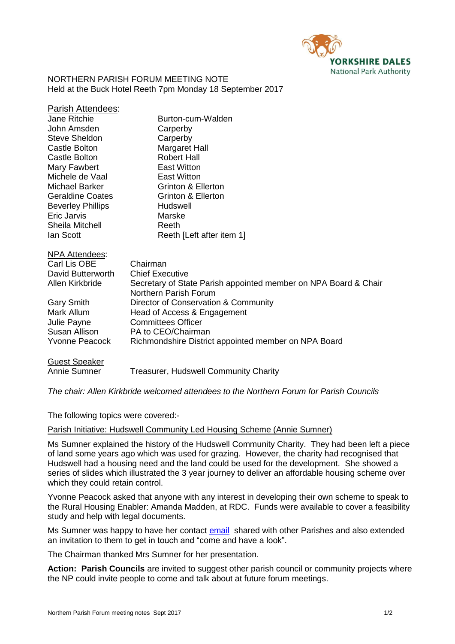

NORTHERN PARISH FORUM MEETING NOTE Held at the Buck Hotel Reeth 7pm Monday 18 September 2017

| <b>Parish Attendees:</b> |                                                                                          |
|--------------------------|------------------------------------------------------------------------------------------|
| <b>Jane Ritchie</b>      | Burton-cum-Walden                                                                        |
| John Amsden              | Carperby                                                                                 |
| <b>Steve Sheldon</b>     | Carperby                                                                                 |
| <b>Castle Bolton</b>     | Margaret Hall                                                                            |
| Castle Bolton            | <b>Robert Hall</b>                                                                       |
| Mary Fawbert             | <b>East Witton</b>                                                                       |
| Michele de Vaal          | <b>East Witton</b>                                                                       |
| Michael Barker           | Grinton & Ellerton                                                                       |
| <b>Geraldine Coates</b>  | Grinton & Ellerton                                                                       |
| <b>Beverley Phillips</b> | Hudswell                                                                                 |
| Eric Jarvis              | Marske                                                                                   |
| Sheila Mitchell          | Reeth                                                                                    |
| lan Scott                | Reeth [Left after item 1]                                                                |
| <b>NPA Attendees:</b>    |                                                                                          |
| Carl Lis OBE             | Chairman                                                                                 |
| David Butterworth        | <b>Chief Executive</b>                                                                   |
| Allen Kirkbride          | Secretary of State Parish appointed member on NPA Board & Chair<br>Northern Parish Forum |
| Gary Smith               | Director of Conservation & Community                                                     |
| Mark Allum               | Head of Access & Engagement                                                              |
| Julie Payne              | <b>Committees Officer</b>                                                                |
| Susan Allison            | PA to CEO/Chairman                                                                       |
| <b>Yvonne Peacock</b>    | Richmondshire District appointed member on NPA Board                                     |
| <b>Guest Speaker</b>     |                                                                                          |
| Annie Sumner             | Treasurer, Hudswell Community Charity                                                    |

*The chair: Allen Kirkbride welcomed attendees to the Northern Forum for Parish Councils* 

The following topics were covered:-

### Parish Initiative: Hudswell Community Led Housing Scheme (Annie Sumner)

Ms Sumner explained the history of the Hudswell Community Charity. They had been left a piece of land some years ago which was used for grazing. However, the charity had recognised that Hudswell had a housing need and the land could be used for the development. She showed a series of slides which illustrated the 3 year journey to deliver an affordable housing scheme over which they could retain control.

Yvonne Peacock asked that anyone with any interest in developing their own scheme to speak to the Rural Housing Enabler: Amanda Madden, at RDC. Funds were available to cover a feasibility study and help with legal documents.

Ms Sumner was happy to have her contact [email](mailto:jasumner67@gmail.com) shared with other Parishes and also extended an invitation to them to get in touch and "come and have a look".

The Chairman thanked Mrs Sumner for her presentation.

**Action: Parish Councils** are invited to suggest other parish council or community projects where the NP could invite people to come and talk about at future forum meetings.